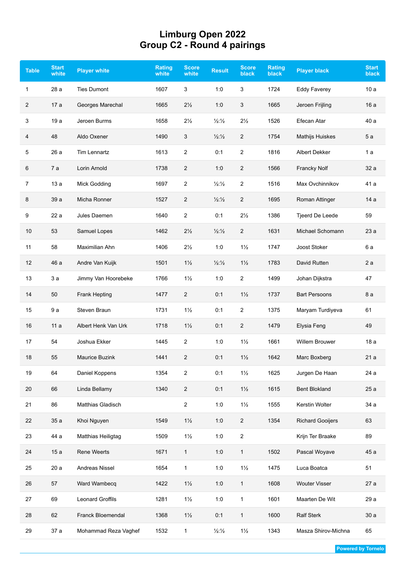## **Limburg Open 2022 Group C2 - Round 4 pairings**

| <b>Table</b> | <b>Start</b><br>white | <b>Player white</b>   | <b>Rating</b><br>white | <b>Score</b><br>white | <b>Result</b>            | Score<br><b>black</b>   | <b>Rating</b><br><b>black</b> | <b>Player black</b>     | <b>Start</b><br><b>black</b> |
|--------------|-----------------------|-----------------------|------------------------|-----------------------|--------------------------|-------------------------|-------------------------------|-------------------------|------------------------------|
| 1            | 28 a                  | <b>Ties Dumont</b>    | 1607                   | 3                     | 1:0                      | 3                       | 1724                          | <b>Eddy Faverey</b>     | 10a                          |
| 2            | 17a                   | Georges Marechal      | 1665                   | $2\frac{1}{2}$        | 1:0                      | 3                       | 1665                          | Jeroen Frijling         | 16a                          |
| 3            | 19a                   | Jeroen Burms          | 1658                   | $2\frac{1}{2}$        | $\frac{1}{2}\frac{1}{2}$ | $2\frac{1}{2}$          | 1526                          | Efecan Atar             | 40 a                         |
| 4            | 48                    | Aldo Oxener           | 1490                   | 3                     | 1/2:1/2                  | $\overline{c}$          | 1754                          | Mathijs Huiskes         | 5a                           |
| 5            | 26a                   | Tim Lennartz          | 1613                   | $\overline{c}$        | 0:1                      | $\overline{\mathbf{c}}$ | 1816                          | Albert Dekker           | 1a                           |
| 6            | 7a                    | Lorin Arnold          | 1738                   | 2                     | 1:0                      | 2                       | 1566                          | <b>Francky Nolf</b>     | 32 a                         |
| 7            | 13a                   | Mick Godding          | 1697                   | 2                     | $\frac{1}{2}\frac{1}{2}$ | 2                       | 1516                          | Max Ovchinnikov         | 41 a                         |
| 8            | 39 a                  | Micha Ronner          | 1527                   | $\overline{c}$        | $\frac{1}{2}\frac{1}{2}$ | 2                       | 1695                          | Roman Attinger          | 14a                          |
| 9            | 22a                   | Jules Daemen          | 1640                   | 2                     | 0:1                      | $2\frac{1}{2}$          | 1386                          | Tjeerd De Leede         | 59                           |
| 10           | 53                    | Samuel Lopes          | 1462                   | $2\frac{1}{2}$        | $\frac{1}{2}\frac{1}{2}$ | 2                       | 1631                          | Michael Schomann        | 23 a                         |
| 11           | 58                    | Maximilian Ahn        | 1406                   | $2\frac{1}{2}$        | 1:0                      | $1\frac{1}{2}$          | 1747                          | Joost Stoker            | 6а                           |
| 12           | 46 a                  | Andre Van Kuijk       | 1501                   | $1\frac{1}{2}$        | $\frac{1}{2}\frac{1}{2}$ | $1\frac{1}{2}$          | 1783                          | David Rutten            | 2a                           |
| 13           | 3a                    | Jimmy Van Hoorebeke   | 1766                   | $1\frac{1}{2}$        | 1:0                      | 2                       | 1499                          | Johan Dijkstra          | 47                           |
| 14           | 50                    | Frank Hepting         | 1477                   | $\overline{c}$        | 0:1                      | $1\frac{1}{2}$          | 1737                          | <b>Bart Persoons</b>    | 8a                           |
| 15           | 9a                    | Steven Braun          | 1731                   | $1\frac{1}{2}$        | 0:1                      | 2                       | 1375                          | Maryam Turdiyeva        | 61                           |
| 16           | 11a                   | Albert Henk Van Urk   | 1718                   | $1\frac{1}{2}$        | 0:1                      | $\overline{2}$          | 1479                          | Elysia Feng             | 49                           |
| 17           | 54                    | Joshua Ekker          | 1445                   | $\overline{2}$        | 1:0                      | $1\frac{1}{2}$          | 1661                          | <b>Willem Brouwer</b>   | 18a                          |
| 18           | 55                    | <b>Maurice Buzink</b> | 1441                   | $\overline{2}$        | 0:1                      | $1\frac{1}{2}$          | 1642                          | Marc Boxberg            | 21a                          |
| 19           | 64                    | Daniel Koppens        | 1354                   | 2                     | 0:1                      | $1\frac{1}{2}$          | 1625                          | Jurgen De Haan          | 24 a                         |
| 20           | 66                    | Linda Bellamy         | 1340                   | $\overline{c}$        | 0:1                      | $1\frac{1}{2}$          | 1615                          | <b>Bent Blokland</b>    | 25a                          |
| 21           | 86                    | Matthias Gladisch     |                        | $\overline{2}$        | 1:0                      | $1\frac{1}{2}$          | 1555                          | Kerstin Wolter          | 34 a                         |
| 22           | 35 a                  | Khoi Nguyen           | 1549                   | $1\frac{1}{2}$        | 1:0                      | $\overline{2}$          | 1354                          | <b>Richard Gooijers</b> | 63                           |
| 23           | 44 a                  | Matthias Heiligtag    | 1509                   | $1\frac{1}{2}$        | 1:0                      | $\overline{\mathbf{c}}$ |                               | Krijn Ter Braake        | 89                           |
| 24           | 15a                   | Rene Weerts           | 1671                   | $\mathbf{1}$          | 1:0                      | $\mathbf{1}$            | 1502                          | Pascal Woyave           | 45 a                         |
| 25           | 20a                   | Andreas Nissel        | 1654                   | $\mathbf{1}$          | 1:0                      | $1\frac{1}{2}$          | 1475                          | Luca Boatca             | 51                           |
| 26           | 57                    | Ward Wambecq          | 1422                   | $1\frac{1}{2}$        | 1:0                      | $\mathbf{1}$            | 1608                          | <b>Wouter Visser</b>    | 27 a                         |
| 27           | 69                    | Leonard Groffils      | 1281                   | $1\frac{1}{2}$        | 1:0                      | $\mathbf{1}$            | 1601                          | Maarten De Wit          | 29 a                         |
| 28           | 62                    | Franck Bloemendal     | 1368                   | $1\frac{1}{2}$        | 0:1                      | $\mathbf{1}$            | 1600                          | <b>Ralf Sterk</b>       | 30a                          |
| 29           | 37 a                  | Mohammad Reza Vaghef  | 1532                   | $\mathbf{1}$          | $\frac{1}{2}\frac{1}{2}$ | $1\frac{1}{2}$          | 1343                          | Masza Shirov-Michna     | 65                           |